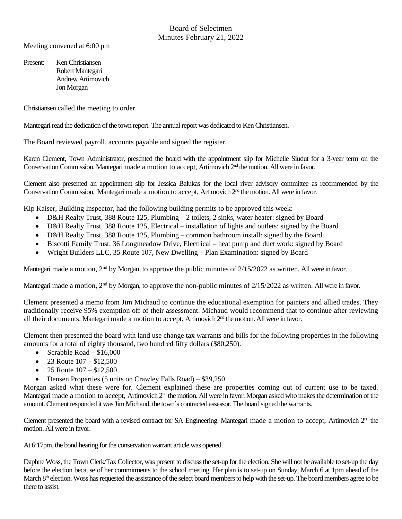Meeting convened at 6:00 pm

Present: Ken Christiansen Robert Mantegari Andrew Artimovich Jon Morgan

Christiansen called the meeting to order.

Mantegariread the dedication of the town report. The annual report was dedicated to Ken Christiansen.

The Board reviewed payroll, accounts payable and signed the register.

Karen Clement, Town Administrator, presented the board with the appointment slip for Michelle Siudut for a 3-year term on the Conservation Commission. Mantegari made a motion to accept, Artimovich 2<sup>nd</sup> the motion. All were in favor.

Clement also presented an appointment slip for Jessica Balukas for the local river advisory committee as recommended by the Conservation Commission. Mantegari made a motion to accept, Artimovich 2<sup>nd</sup> the motion. All were in favor.

Kip Kaiser, Building Inspector, had the following building permits to be approved this week:

- D&H Realty Trust, 388 Route 125, Plumbing 2 toilets, 2 sinks, water heater: signed by Board
- D&H Realty Trust, 388 Route 125, Electrical installation of lights and outlets: signed by the Board
- D&H Realty Trust, 388 Route 125, Plumbing common bathroom install: signed by the Board
- Biscotti Family Trust, 36 Longmeadow Drive, Electrical heat pump and duct work: signed by Board
- Wright Builders LLC, 35 Route 107, New Dwelling Plan Examination: signed by Board

Mantegari made a motion,  $2<sup>nd</sup>$  by Morgan, to approve the public minutes of  $2/15/2022$  as written. All were in favor.

Mantegari made a motion,  $2<sup>nd</sup>$  by Morgan, to approve the non-public minutes of  $2/15/2022$  as written. All were in favor.

Clement presented a memo from Jim Michaud to continue the educational exemption for painters and allied trades. They traditionally receive 95% exemption off of their assessment. Michaud would recommend that to continue after reviewing all their documents. Mantegari made a motion to accept, Artimovich 2<sup>nd</sup> the motion. All were in favor.

Clement then presented the board with land use change tax warrants and bills for the following properties in the following amounts for a total of eighty thousand, two hundred fifty dollars (\$80,250).

- Scrabble Road \$16,000
- 23 Route  $107 $12,500$
- 25 Route  $107 $12,500$
- Densen Properties (5 units on Crawley Falls Road) \$39,250

Morgan asked what these were for. Clement explained these are properties coming out of current use to be taxed. Mantegari made a motion to accept, Artimovich 2<sup>nd</sup> the motion. All were in favor. Morgan asked who makes the determination of the amount. Clement responded it was Jim Michaud, the town's contracted assessor. The board signed the warrants.

Clement presented the board with a revised contract for SA Engineering. Mantegari made a motion to accept, Artimovich  $2<sup>nd</sup>$  the motion. All were in favor.

At 6:17pm, the bond hearing for the conservation warrant article was opened.

Daphne Woss, the Town Clerk/Tax Collector, was present to discuss the set-up for the election. She will not be available to set-up the day before the election because of her commitments to the school meeting. Her plan is to set-up on Sunday, March 6 at 1pm ahead of the March 8<sup>th</sup> election. Woss has requested the assistance of the select board members to help with the set-up. The board members agree to be there to assist.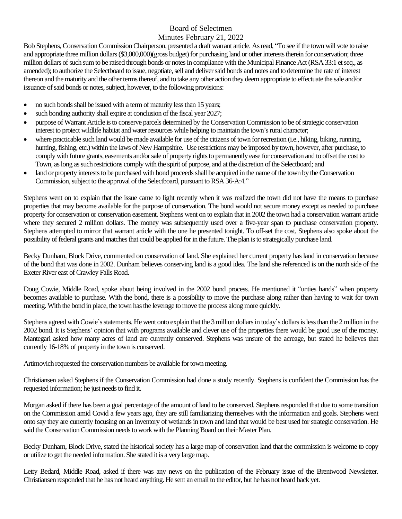## Board of Selectmen

Minutes February 21, 2022

Bob Stephens, Conservation Commission Chairperson, presented a draft warrant article. As read, "To see if the town will vote to raise and appropriate three million dollars (\$3,000,000)(gross budget) for purchasing land or other interests therein for conservation; three million dollars of such sumto be raised through bonds or notes in compliance with the Municipal Finance Act (RSA 33:1 et seq., as amended); to authorize the Selectboard to issue, negotiate, sell and deliver said bonds and notes and to determine the rate of interest thereon and the maturity and the other terms thereof, and to take any other action they deem appropriate to effectuate the sale and/or issuance of said bonds or notes, subject, however, to the following provisions:

- no such bonds shall be issued with a term of maturity less than 15 years;
- such bonding authority shall expire at conclusion of the fiscal year 2027;
- purpose of Warrant Article is to conserve parcels determined by the Conservation Commission to be of strategic conservation interest to protect wildlife habitat and water resources while helping to maintain the town's rural character;
- where practicable such land would be made available for use of the citizens of town for recreation (i.e., hiking, biking, running, hunting, fishing, etc.) within the laws of New Hampshire. Use restrictions may be imposed by town, however, after purchase, to comply with future grants, easements and/or sale of property rights to permanently ease for conservation and to offset the cost to Town, as long as such restrictions comply with the spirit of purpose, and at the discretion of the Selectboard; and
- land or property interests to be purchased with bond proceeds shall be acquired in the name of the town by the Conservation Commission, subject to the approval of the Selectboard, pursuant to RSA 36-A:4."

Stephens went on to explain that the issue came to light recently when it was realized the town did not have the means to purchase properties that may become available for the purpose of conservation. The bond would not secure money except as needed to purchase property for conservation or conservation easement. Stephens went on to explain that in 2002 the town had a conservation warrant article where they secured 2 million dollars. The money was subsequently used over a five-year span to purchase conservation property. Stephens attempted to mirror that warrant article with the one he presented tonight. To off-set the cost, Stephens also spoke about the possibility of federal grants and matches that could be applied for in the future. The plan is to strategically purchase land.

Becky Dunham, Block Drive, commented on conservation of land. She explained her current property has land in conservation because of the bond that was done in 2002. Dunham believes conserving land is a good idea. The land she referenced is on the north side of the Exeter River east of Crawley Falls Road.

Doug Cowie, Middle Road, spoke about being involved in the 2002 bond process. He mentioned it "unties hands" when property becomes available to purchase. With the bond, there is a possibility to move the purchase along rather than having to wait for town meeting. With the bond in place, the town has the leverage to move the process along more quickly.

Stephens agreed with Cowie's statements. He went onto explain that the 3 million dollars in today's dollars is less than the 2 million in the 2002 bond. It is Stephens' opinion that with programs available and clever use of the properties there would be good use of the money. Mantegari asked how many acres of land are currently conserved. Stephens was unsure of the acreage, but stated he believes that currently 16-18% of property in the town is conserved.

Artimovich requested the conservation numbers be available for town meeting.

Christiansen asked Stephens if the Conservation Commission had done a study recently. Stephens is confident the Commission has the requested information; he just needs to find it.

Morgan asked if there has been a goal percentage of the amount of land to be conserved. Stephens responded that due to some transition on the Commission amid Covid a few years ago, they are still familiarizing themselves with the information and goals. Stephens went onto say they are currently focusing on an inventory of wetlands in town and land that would be best used for strategic conservation. He said the Conservation Commission needs to work with the Planning Board on their Master Plan.

Becky Dunham, Block Drive, stated the historical society has a large map of conservation land that the commission is welcome to copy or utilize to get the needed information. She stated it is a very largemap.

Letty Bedard, Middle Road, asked if there was any news on the publication of the February issue of the Brentwood Newsletter. Christiansen responded that he has not heard anything. He sent an email to the editor, but he has not heard back yet.